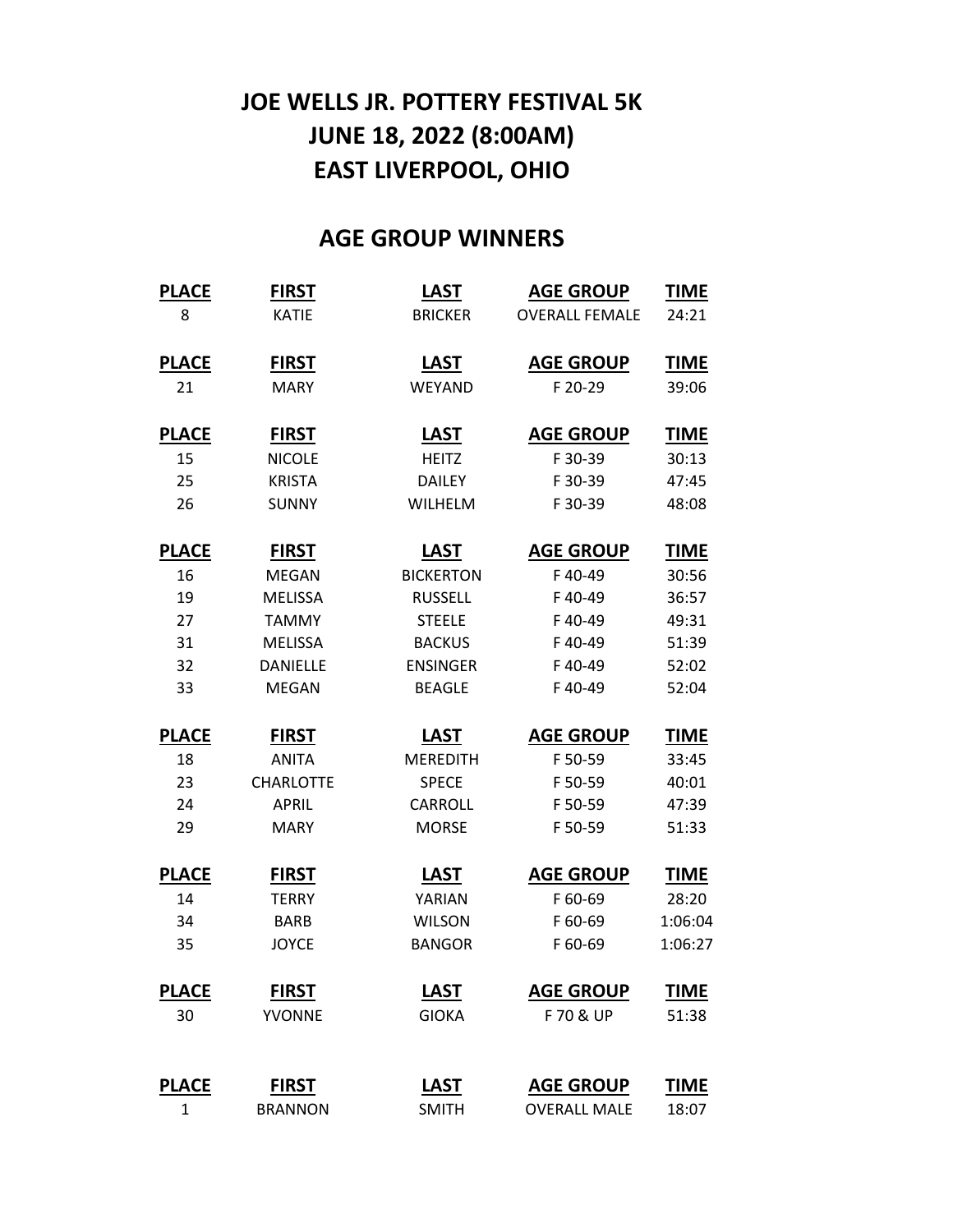## **JOE WELLS JR. POTTERY FESTIVAL 5K JUNE 18, 2022 (8:00AM) EAST LIVERPOOL, OHIO**

## **AGE GROUP WINNERS**

| <b>PLACE</b> | <b>FIRST</b>     | <b>LAST</b>      | <b>AGE GROUP</b>      | <b>TIME</b> |
|--------------|------------------|------------------|-----------------------|-------------|
| 8            | <b>KATIE</b>     | <b>BRICKER</b>   | <b>OVERALL FEMALE</b> | 24:21       |
| <b>PLACE</b> | <b>FIRST</b>     | <b>LAST</b>      | <b>AGE GROUP</b>      | <b>TIME</b> |
| 21           | <b>MARY</b>      | WEYAND           | F 20-29               | 39:06       |
| <b>PLACE</b> | <b>FIRST</b>     | <b>LAST</b>      | <b>AGE GROUP</b>      | <b>TIME</b> |
| 15           | <b>NICOLE</b>    | <b>HEITZ</b>     | F 30-39               | 30:13       |
| 25           | <b>KRISTA</b>    | <b>DAILEY</b>    | F 30-39               | 47:45       |
| 26           | <b>SUNNY</b>     | <b>WILHELM</b>   | F 30-39               | 48:08       |
| <b>PLACE</b> | <b>FIRST</b>     | <b>LAST</b>      | <b>AGE GROUP</b>      | <b>TIME</b> |
| 16           | <b>MEGAN</b>     | <b>BICKERTON</b> | F40-49                | 30:56       |
| 19           | <b>MELISSA</b>   | <b>RUSSELL</b>   | F40-49                | 36:57       |
| 27           | <b>TAMMY</b>     | <b>STEELE</b>    | F40-49                | 49:31       |
| 31           | <b>MELISSA</b>   | <b>BACKUS</b>    | F40-49                | 51:39       |
| 32           | <b>DANIELLE</b>  | <b>ENSINGER</b>  | F40-49                | 52:02       |
| 33           | <b>MEGAN</b>     | <b>BEAGLE</b>    | F40-49                | 52:04       |
| <b>PLACE</b> | <b>FIRST</b>     | <b>LAST</b>      | <b>AGE GROUP</b>      | <b>TIME</b> |
| 18           | <b>ANITA</b>     | <b>MEREDITH</b>  | F 50-59               | 33:45       |
| 23           | <b>CHARLOTTE</b> | <b>SPECE</b>     | F 50-59               | 40:01       |
| 24           | <b>APRIL</b>     | <b>CARROLL</b>   | F 50-59               | 47:39       |
| 29           | <b>MARY</b>      | <b>MORSE</b>     | F 50-59               | 51:33       |
| <b>PLACE</b> | <b>FIRST</b>     | <b>LAST</b>      | <b>AGE GROUP</b>      | <b>TIME</b> |
| 14           | <b>TERRY</b>     | YARIAN           | F 60-69               | 28:20       |
| 34           | <b>BARB</b>      | <b>WILSON</b>    | F 60-69               | 1:06:04     |
| 35           | <b>JOYCE</b>     | <b>BANGOR</b>    | F 60-69               | 1:06:27     |
| <b>PLACE</b> | <b>FIRST</b>     | <b>LAST</b>      | <b>AGE GROUP</b>      | <b>TIME</b> |
| 30           | <b>YVONNE</b>    | <b>GIOKA</b>     | F 70 & UP             | 51:38       |
| <b>PLACE</b> | <b>FIRST</b>     | <b>LAST</b>      | <b>AGE GROUP</b>      | <b>TIME</b> |
| $\mathbf{1}$ | <b>BRANNON</b>   | <b>SMITH</b>     | <b>OVERALL MALE</b>   | 18:07       |